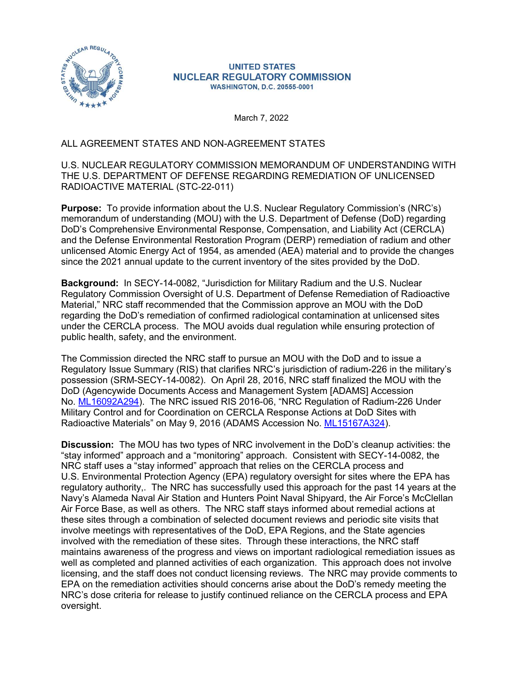

## **UNITED STATES NUCLEAR REGULATORY COMMISSION WASHINGTON, D.C. 20555-0001**

March 7, 2022

## ALL AGREEMENT STATES AND NON-AGREEMENT STATES

## U.S. NUCLEAR REGULATORY COMMISSION MEMORANDUM OF UNDERSTANDING WITH THE U.S. DEPARTMENT OF DEFENSE REGARDING REMEDIATION OF UNLICENSED RADIOACTIVE MATERIAL (STC-22-011)

Purpose: To provide information about the U.S. Nuclear Regulatory Commission's (NRC's) memorandum of understanding (MOU) with the U.S. Department of Defense (DoD) regarding DoD's Comprehensive Environmental Response, Compensation, and Liability Act (CERCLA) and the Defense Environmental Restoration Program (DERP) remediation of radium and other unlicensed Atomic Energy Act of 1954, as amended (AEA) material and to provide the changes since the 2021 annual update to the current inventory of the sites provided by the DoD.

Background: In SECY-14-0082, "Jurisdiction for Military Radium and the U.S. Nuclear Regulatory Commission Oversight of U.S. Department of Defense Remediation of Radioactive Material," NRC staff recommended that the Commission approve an MOU with the DoD regarding the DoD's remediation of confirmed radiological contamination at unlicensed sites under the CERCLA process. The MOU avoids dual regulation while ensuring protection of public health, safety, and the environment.

The Commission directed the NRC staff to pursue an MOU with the DoD and to issue a Regulatory Issue Summary (RIS) that clarifies NRC's jurisdiction of radium-226 in the military's possession (SRM-SECY-14-0082). On April 28, 2016, NRC staff finalized the MOU with the DoD (Agencywide Documents Access and Management System [ADAMS] Accession No. ML16092A294). The NRC issued RIS 2016-06, "NRC Regulation of Radium-226 Under Military Control and for Coordination on CERCLA Response Actions at DoD Sites with Radioactive Materials" on May 9, 2016 (ADAMS Accession No. ML15167A324).

Discussion: The MOU has two types of NRC involvement in the DoD's cleanup activities: the "stay informed" approach and a "monitoring" approach. Consistent with SECY-14-0082, the NRC staff uses a "stay informed" approach that relies on the CERCLA process and U.S. Environmental Protection Agency (EPA) regulatory oversight for sites where the EPA has regulatory authority,. The NRC has successfully used this approach for the past 14 years at the Navy's Alameda Naval Air Station and Hunters Point Naval Shipyard, the Air Force's McClellan Air Force Base, as well as others. The NRC staff stays informed about remedial actions at these sites through a combination of selected document reviews and periodic site visits that involve meetings with representatives of the DoD, EPA Regions, and the State agencies involved with the remediation of these sites. Through these interactions, the NRC staff maintains awareness of the progress and views on important radiological remediation issues as well as completed and planned activities of each organization. This approach does not involve licensing, and the staff does not conduct licensing reviews. The NRC may provide comments to EPA on the remediation activities should concerns arise about the DoD's remedy meeting the NRC's dose criteria for release to justify continued reliance on the CERCLA process and EPA oversight.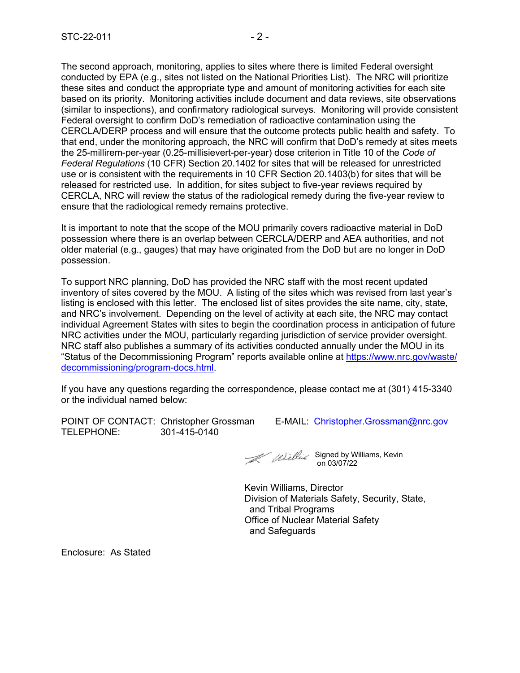The second approach, monitoring, applies to sites where there is limited Federal oversight conducted by EPA (e.g., sites not listed on the National Priorities List). The NRC will prioritize these sites and conduct the appropriate type and amount of monitoring activities for each site based on its priority. Monitoring activities include document and data reviews, site observations (similar to inspections), and confirmatory radiological surveys. Monitoring will provide consistent Federal oversight to confirm DoD's remediation of radioactive contamination using the CERCLA/DERP process and will ensure that the outcome protects public health and safety. To that end, under the monitoring approach, the NRC will confirm that DoD's remedy at sites meets the 25-millirem-per-year (0.25-millisievert-per-year) dose criterion in Title 10 of the Code of Federal Regulations (10 CFR) Section 20.1402 for sites that will be released for unrestricted use or is consistent with the requirements in 10 CFR Section 20.1403(b) for sites that will be released for restricted use. In addition, for sites subject to five-year reviews required by CERCLA, NRC will review the status of the radiological remedy during the five-year review to ensure that the radiological remedy remains protective.

It is important to note that the scope of the MOU primarily covers radioactive material in DoD possession where there is an overlap between CERCLA/DERP and AEA authorities, and not older material (e.g., gauges) that may have originated from the DoD but are no longer in DoD possession.

To support NRC planning, DoD has provided the NRC staff with the most recent updated inventory of sites covered by the MOU. A listing of the sites which was revised from last year's listing is enclosed with this letter. The enclosed list of sites provides the site name, city, state, and NRC's involvement. Depending on the level of activity at each site, the NRC may contact individual Agreement States with sites to begin the coordination process in anticipation of future NRC activities under the MOU, particularly regarding jurisdiction of service provider oversight. NRC staff also publishes a summary of its activities conducted annually under the MOU in its "Status of the Decommissioning Program" reports available online at https://www.nrc.gov/waste/ decommissioning/program-docs.html. ensure that the radiological remedy remains protective.<br>
It is important to note that the scope of the MOU primarily covers radioactive material in DoD<br>
possession where there is an overlap between CERCLA/DERP and AEA auth

If you have any questions regarding the correspondence, please contact me at (301) 415-3340 or the individual named below:

TELEPHONE: 301-415-0140

Signed by Williams, Kevin on 03/07/22

Kevin Williams, Director Division of Materials Safety, Security, State, and Tribal Programs Office of Nuclear Material Safety and Safeguards

Enclosure: As Stated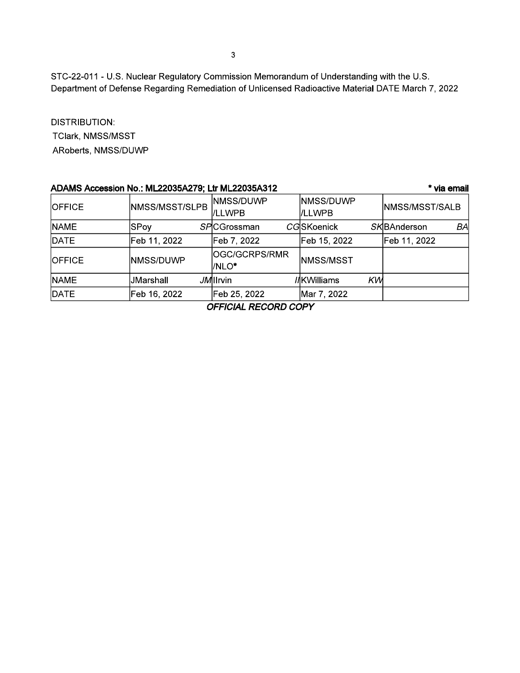STC-22-011 - U.S. Nuclear Regulatory Commission Memorandum of Understanding with the U.S. Department of Defense Regarding Remediation of Unlicensed Radioactive Material DATE March 7, 2022

**DISTRIBUTION:** TClark, NMSS/MSST ARoberts, NMSS/DUWP

| ADAMS Accession No.: ML22035A279; Ltr ML22035A312<br>* via email |                   |                          |                      |                       |  |  |  |
|------------------------------------------------------------------|-------------------|--------------------------|----------------------|-----------------------|--|--|--|
| <b>OFFICE</b>                                                    | NMSS/MSST/SLPB    | NMSS/DUWP<br>l/LLWPB     | NMSS/DUWP<br>l/LLWPB | <b>NMSS/MSST/SALB</b> |  |  |  |
| <b>NAME</b>                                                      | SPoy              | <b>SPICGrossman</b>      | <b>CGSKoenick</b>    | SKBAnderson<br>BAI    |  |  |  |
| DATE                                                             | Feb 11, 2022      | Feb 7, 2022              | Feb 15, 2022         | Feb 11, 2022          |  |  |  |
| <b>OFFICE</b>                                                    | <b>INMSS/DUWP</b> | lOGC/GCRPS/RMR<br>I/NLO* | INMSS/MSST           |                       |  |  |  |
| <b>NAME</b>                                                      | JMarshall         | JM IIrvin                | KW<br>//KWilliams    |                       |  |  |  |
| DATE                                                             | Feb 16, 2022      | Feb 25, 2022             | Mar 7, 2022          |                       |  |  |  |

**OFFICIAL RECORD COPY**